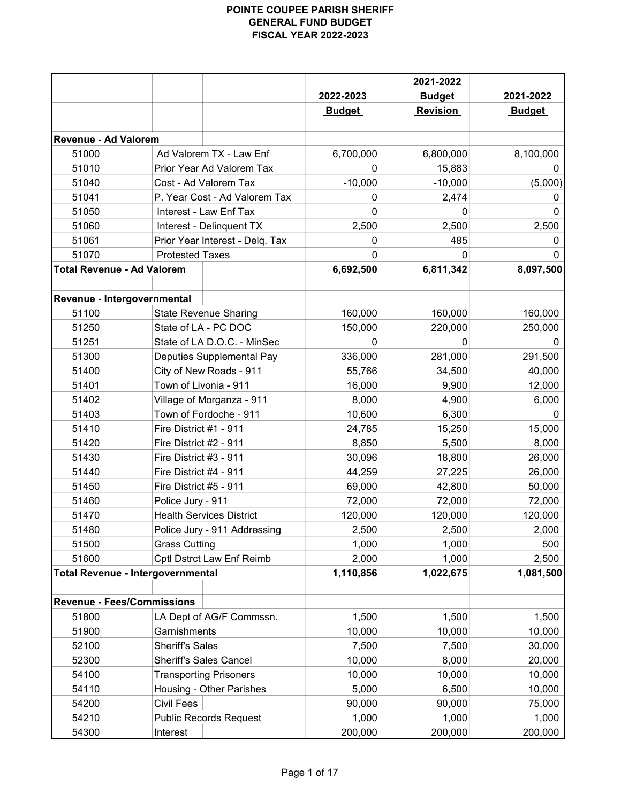|                                          |                        |                                  | 2021-2022     |                 |               |
|------------------------------------------|------------------------|----------------------------------|---------------|-----------------|---------------|
|                                          |                        |                                  | 2022-2023     | <b>Budget</b>   | 2021-2022     |
|                                          |                        |                                  | <b>Budget</b> | <b>Revision</b> | <b>Budget</b> |
|                                          |                        |                                  |               |                 |               |
| <b>Revenue - Ad Valorem</b>              |                        |                                  |               |                 |               |
| 51000                                    |                        | Ad Valorem TX - Law Enf          | 6,700,000     | 6,800,000       | 8,100,000     |
| 51010                                    |                        | Prior Year Ad Valorem Tax        | 0             | 15,883          | 0             |
| 51040                                    |                        | Cost - Ad Valorem Tax            | $-10,000$     | $-10,000$       | (5,000)       |
| 51041                                    |                        | P. Year Cost - Ad Valorem Tax    | 0             | 2,474           | O             |
| 51050                                    |                        | Interest - Law Enf Tax           | 0             |                 | 0             |
| 51060                                    |                        | Interest - Delinquent TX         | 2,500         | 2,500           | 2,500         |
| 51061                                    |                        | Prior Year Interest - Delq. Tax  | 0             | 485             | 0             |
| 51070                                    | <b>Protested Taxes</b> |                                  | O             | 0               |               |
| <b>Total Revenue - Ad Valorem</b>        |                        |                                  | 6,692,500     | 6,811,342       | 8,097,500     |
|                                          |                        |                                  |               |                 |               |
| Revenue - Intergovernmental              |                        |                                  |               |                 |               |
| 51100                                    |                        | <b>State Revenue Sharing</b>     | 160,000       | 160,000         | 160,000       |
| 51250                                    |                        | State of LA - PC DOC             | 150,000       | 220,000         | 250,000       |
| 51251                                    |                        | State of LA D.O.C. - MinSec      | 0             | 0               | $\Omega$      |
| 51300                                    |                        | <b>Deputies Supplemental Pay</b> | 336,000       | 281,000         | 291,500       |
| 51400                                    |                        | City of New Roads - 911          | 55,766        | 34,500          | 40,000        |
| 51401                                    |                        | Town of Livonia - 911            | 16,000        | 9,900           | 12,000        |
| 51402                                    |                        | Village of Morganza - 911        | 8,000         | 4,900           | 6,000         |
| 51403                                    | Town of Fordoche - 911 |                                  | 10,600        | 6,300           | 0             |
| 51410                                    | Fire District #1 - 911 |                                  | 24,785        | 15,250          | 15,000        |
| 51420                                    | Fire District #2 - 911 |                                  | 8,850         | 5,500           | 8,000         |
| 51430                                    | Fire District #3 - 911 |                                  | 30,096        | 18,800          | 26,000        |
| 51440                                    | Fire District #4 - 911 |                                  | 44,259        | 27,225          | 26,000        |
| 51450                                    | Fire District #5 - 911 |                                  | 69,000        | 42,800          | 50,000        |
| 51460                                    | Police Jury - 911      |                                  | 72,000        | 72,000          | 72,000        |
| 51470                                    |                        | <b>Health Services District</b>  | 120,000       | 120,000         | 120,000       |
| 51480                                    |                        | Police Jury - 911 Addressing     | 2,500         | 2,500           | 2,000         |
| 51500                                    | <b>Grass Cutting</b>   |                                  | 1,000         | 1,000           | 500           |
| 51600                                    |                        | Cptl Dstrct Law Enf Reimb        | 2,000         | 1,000           | 2,500         |
| <b>Total Revenue - Intergovernmental</b> |                        |                                  | 1,110,856     | 1,022,675       | 1,081,500     |
|                                          |                        |                                  |               |                 |               |
| <b>Revenue - Fees/Commissions</b>        |                        |                                  |               |                 |               |
| 51800                                    |                        | LA Dept of AG/F Commssn.         | 1,500         | 1,500           | 1,500         |
| 51900                                    | Garnishments           |                                  | 10,000        | 10,000          | 10,000        |
| 52100                                    | <b>Sheriff's Sales</b> |                                  | 7,500         | 7,500           | 30,000        |
| 52300                                    |                        | <b>Sheriff's Sales Cancel</b>    | 10,000        | 8,000           | 20,000        |
| 54100                                    |                        | <b>Transporting Prisoners</b>    | 10,000        | 10,000          | 10,000        |
| 54110                                    |                        | Housing - Other Parishes         | 5,000         | 6,500           | 10,000        |
| 54200                                    | <b>Civil Fees</b>      |                                  | 90,000        | 90,000          | 75,000        |
| 54210                                    |                        | <b>Public Records Request</b>    | 1,000         | 1,000           | 1,000         |
| 54300                                    | Interest               |                                  | 200,000       | 200,000         | 200,000       |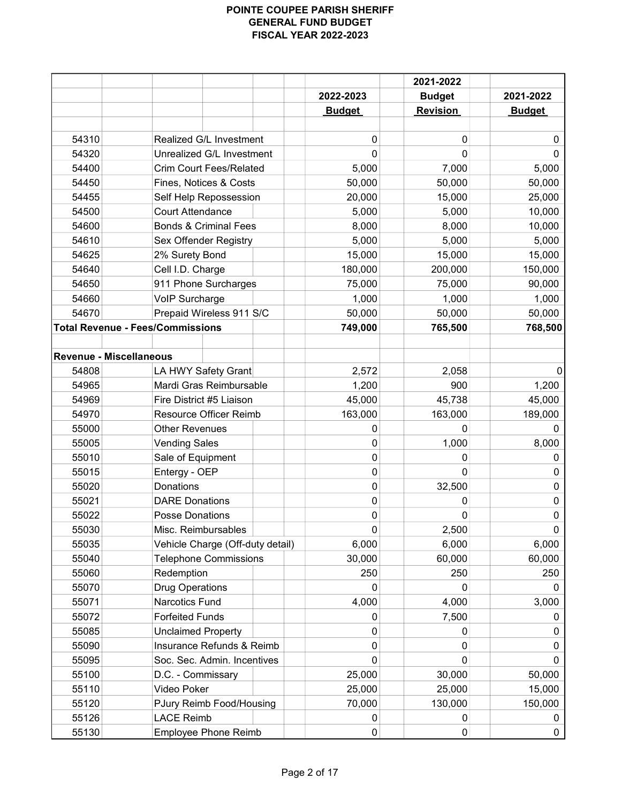|                                   |                                         |               | 2021-2022       |               |
|-----------------------------------|-----------------------------------------|---------------|-----------------|---------------|
|                                   |                                         | 2022-2023     | <b>Budget</b>   | 2021-2022     |
|                                   |                                         | <b>Budget</b> | <b>Revision</b> | <b>Budget</b> |
|                                   |                                         |               |                 |               |
| 54310                             | Realized G/L Investment                 | 0             | 0               | 0             |
| 54320                             | Unrealized G/L Investment               | 0             | $\Omega$        | $\Omega$      |
| 54400                             | <b>Crim Court Fees/Related</b>          | 5,000         | 7,000           | 5,000         |
| 54450                             | Fines, Notices & Costs                  | 50,000        | 50,000          | 50,000        |
| 54455                             | Self Help Repossession                  | 20,000        | 15,000          | 25,000        |
| 54500                             | <b>Court Attendance</b>                 | 5,000         | 5,000           | 10,000        |
| 54600                             | <b>Bonds &amp; Criminal Fees</b>        | 8,000         | 8,000           | 10,000        |
| 54610                             | Sex Offender Registry                   | 5,000         | 5,000           | 5,000         |
| 54625                             | 2% Surety Bond                          | 15,000        | 15,000          | 15,000        |
| 54640                             | Cell I.D. Charge                        | 180,000       | 200,000         | 150,000       |
| 54650                             | 911 Phone Surcharges                    | 75,000        | 75,000          | 90,000        |
| 54660                             | VoIP Surcharge                          | 1,000         | 1,000           | 1,000         |
| 54670                             | Prepaid Wireless 911 S/C                | 50,000        | 50,000          | 50,000        |
|                                   | <b>Total Revenue - Fees/Commissions</b> | 749,000       | 765,500         | 768,500       |
|                                   |                                         |               |                 |               |
|                                   | <b>Revenue - Miscellaneous</b>          |               |                 |               |
| 54808                             | LA HWY Safety Grant                     | 2,572         | 2,058           |               |
| 54965                             | Mardi Gras Reimbursable                 | 1,200         | 900             | 1,200         |
| 54969<br>Fire District #5 Liaison |                                         | 45,000        | 45,738          | 45,000        |
| 54970                             | <b>Resource Officer Reimb</b>           | 163,000       | 163,000         | 189,000       |
| 55000                             | <b>Other Revenues</b>                   | 0             | 0               | 0             |
| 55005                             | <b>Vending Sales</b>                    | 0             | 1,000           | 8,000         |
| 55010                             | Sale of Equipment                       | 0             | 0               | 0             |
| 55015                             | Entergy - OEP                           | 0             | 0               | $\mathbf{0}$  |
| 55020                             | <b>Donations</b>                        | 0             | 32,500          | 0             |
| 55021                             | <b>DARE Donations</b>                   | 0             | 0               | 0             |
| 55022                             | <b>Posse Donations</b>                  | 0             | 0               | 0             |
| 55030                             | Misc. Reimbursables                     | 0             | 2,500           | 0             |
| 55035                             | Vehicle Charge (Off-duty detail)        | 6,000         | 6,000           | 6,000         |
| 55040                             | <b>Telephone Commissions</b>            | 30,000        | 60,000          | 60,000        |
| 55060                             | Redemption                              | 250           | 250             | 250           |
| 55070                             | <b>Drug Operations</b>                  | 0             | 0               | 0             |
| 55071                             | Narcotics Fund                          | 4,000         | 4,000           | 3,000         |
| 55072                             | <b>Forfeited Funds</b>                  |               | 7,500           | 0             |
|                                   |                                         | 0             |                 |               |
| 55085                             | <b>Unclaimed Property</b>               | 0             | 0               | 0             |
| 55090                             | Insurance Refunds & Reimb               | 0             | 0               | 0             |
| 55095                             | Soc. Sec. Admin. Incentives             | 0             | 0               | $\mathbf{0}$  |
| 55100                             | D.C. - Commissary                       | 25,000        | 30,000          | 50,000        |
| 55110                             | Video Poker                             | 25,000        | 25,000          | 15,000        |
| 55120                             | PJury Reimb Food/Housing                | 70,000        | 130,000         | 150,000       |
| 55126                             | <b>LACE Reimb</b>                       | 0             | 0               | 0             |
| 55130                             | <b>Employee Phone Reimb</b>             | 0             | 0               | 0             |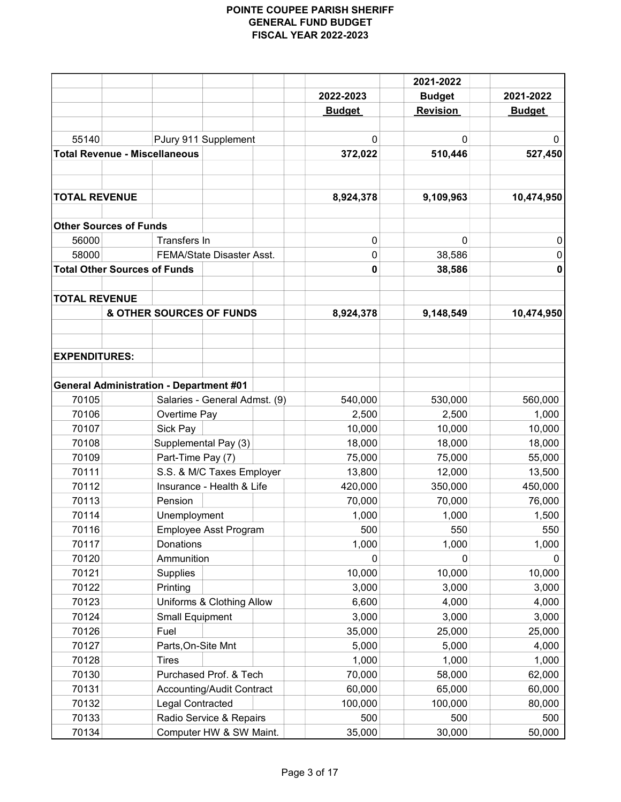| 2022-2023                                         | <b>Budget</b>   | 2021-2022     |
|---------------------------------------------------|-----------------|---------------|
| <b>Budget</b>                                     | <b>Revision</b> | <b>Budget</b> |
|                                                   |                 |               |
| 55140<br>PJury 911 Supplement<br>0                | 0               | 0             |
| <b>Total Revenue - Miscellaneous</b><br>372,022   | 510,446         | 527,450       |
|                                                   |                 |               |
|                                                   |                 |               |
| <b>TOTAL REVENUE</b><br>8,924,378                 | 9,109,963       | 10,474,950    |
| <b>Other Sources of Funds</b>                     |                 |               |
| Transfers In<br>56000<br>$\pmb{0}$                | 0               | 0             |
| 58000<br>FEMA/State Disaster Asst.<br>0           | 38,586          | 0             |
| <b>Total Other Sources of Funds</b><br>0          | 38,586          | 0             |
|                                                   |                 |               |
| <b>TOTAL REVENUE</b>                              |                 |               |
| & OTHER SOURCES OF FUNDS<br>8,924,378             | 9,148,549       | 10,474,950    |
| <b>EXPENDITURES:</b>                              |                 |               |
|                                                   |                 |               |
| <b>General Administration - Department #01</b>    |                 |               |
| 70105<br>Salaries - General Admst. (9)<br>540,000 | 530,000         | 560,000       |
| 70106<br>Overtime Pay<br>2,500                    | 2,500           | 1,000         |
| 70107<br>Sick Pay<br>10,000                       | 10,000          | 10,000        |
| 70108<br>Supplemental Pay (3)<br>18,000           | 18,000          | 18,000        |
| 70109<br>Part-Time Pay (7)<br>75,000              | 75,000          | 55,000        |
| S.S. & M/C Taxes Employer<br>13,800<br>70111      | 12,000          | 13,500        |
| Insurance - Health & Life<br>70112<br>420,000     | 350,000         | 450,000       |
| Pension<br>70113<br>70,000                        | 70,000          | 76,000        |
| 1,000<br>70114<br>Unemployment                    | 1,000           | 1,500         |
| 70116<br><b>Employee Asst Program</b><br>500      | 550             | 550           |
| 70117<br>Donations<br>1,000                       | 1,000           | 1,000         |
| 70120<br>Ammunition<br>0                          | 0               | U             |
| <b>Supplies</b><br>70121<br>10,000                | 10,000          | 10,000        |
| 70122<br>3,000<br>Printing                        | 3,000           | 3,000         |
| 70123<br>Uniforms & Clothing Allow<br>6,600       | 4,000           | 4,000         |
| 70124<br>3,000<br><b>Small Equipment</b>          | 3,000           | 3,000         |
| Fuel<br>35,000<br>70126                           | 25,000          | 25,000        |
| 70127<br>Parts, On-Site Mnt<br>5,000              | 5,000           | 4,000         |
| 1,000<br>70128<br><b>Tires</b>                    | 1,000           | 1,000         |
| 70130<br>Purchased Prof. & Tech<br>70,000         | 58,000          | 62,000        |
| 70131<br>60,000<br>Accounting/Audit Contract      | 65,000          | 60,000        |
| 70132<br>Legal Contracted<br>100,000              | 100,000         | 80,000        |
| 70133<br>Radio Service & Repairs<br>500           | 500             | 500           |
| 70134<br>35,000<br>Computer HW & SW Maint.        | 30,000          | 50,000        |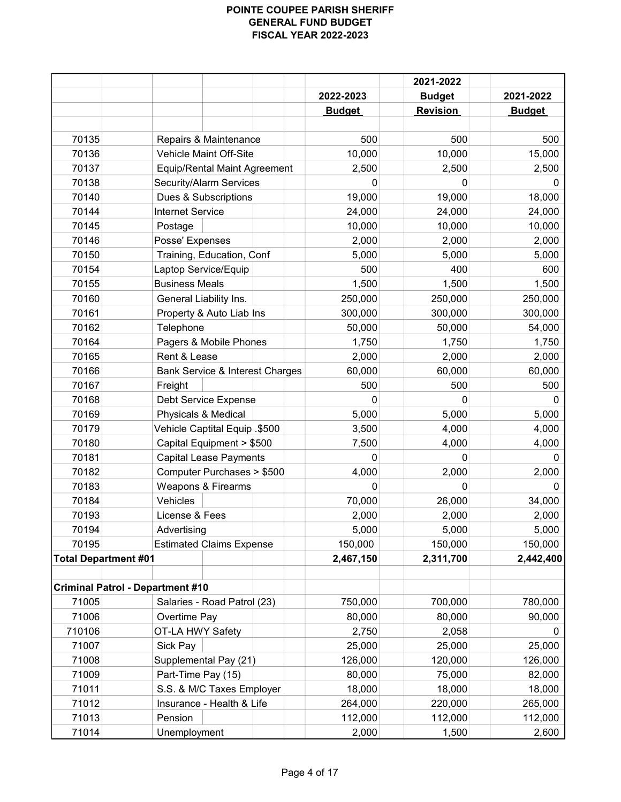|                             |                                            |               | 2021-2022       |               |
|-----------------------------|--------------------------------------------|---------------|-----------------|---------------|
|                             |                                            | 2022-2023     | <b>Budget</b>   | 2021-2022     |
|                             |                                            | <b>Budget</b> | <b>Revision</b> | <b>Budget</b> |
|                             |                                            |               |                 |               |
| 70135                       | Repairs & Maintenance                      | 500           | 500             | 500           |
| 70136                       | Vehicle Maint Off-Site                     | 10,000        | 10,000          | 15,000        |
| 70137                       | <b>Equip/Rental Maint Agreement</b>        | 2,500         | 2,500           | 2,500         |
| 70138                       | Security/Alarm Services                    | 0             | 0               | 0             |
| 70140                       | Dues & Subscriptions                       | 19,000        | 19,000          | 18,000        |
| 70144                       | <b>Internet Service</b>                    | 24,000        | 24,000          | 24,000        |
| 70145                       | Postage                                    | 10,000        | 10,000          | 10,000        |
| 70146                       | Posse' Expenses                            | 2,000         | 2,000           | 2,000         |
| 70150                       | Training, Education, Conf                  | 5,000         | 5,000           | 5,000         |
| 70154                       | Laptop Service/Equip                       | 500           | 400             | 600           |
| 70155                       | <b>Business Meals</b>                      | 1,500         | 1,500           | 1,500         |
| 70160                       | General Liability Ins.                     | 250,000       | 250,000         | 250,000       |
| 70161                       | Property & Auto Liab Ins                   | 300,000       | 300,000         | 300,000       |
| 70162                       | Telephone                                  | 50,000        | 50,000          | 54,000        |
| 70164                       | Pagers & Mobile Phones                     | 1,750         | 1,750           | 1,750         |
| 70165                       | Rent & Lease                               | 2,000         | 2,000           | 2,000         |
| 70166                       | <b>Bank Service &amp; Interest Charges</b> | 60,000        | 60,000          | 60,000        |
| 70167                       | Freight                                    | 500           | 500             | 500           |
| 70168                       | Debt Service Expense                       | 0             |                 | 0             |
| 70169                       | Physicals & Medical                        | 5,000         | 5,000           | 5,000         |
| 70179                       | Vehicle Captital Equip .\$500              | 3,500         | 4,000           | 4,000         |
| 70180                       | Capital Equipment > \$500                  | 7,500         | 4,000           | 4,000         |
| 70181                       | <b>Capital Lease Payments</b>              | $\Omega$      | 0               | 0             |
| 70182                       | Computer Purchases > \$500                 | 4,000         | 2,000           | 2,000         |
| 70183                       | Weapons & Firearms                         | 0             | 0               | 0             |
| 70184                       | Vehicles                                   | 70,000        | 26,000          | 34,000        |
| 70193                       | License & Fees                             | 2,000         | 2,000           | 2,000         |
| 70194                       | Advertising                                | 5,000         | 5,000           | 5,000         |
| 70195                       | <b>Estimated Claims Expense</b>            | 150,000       | 150,000         | 150,000       |
| <b>Total Department #01</b> |                                            | 2,467,150     | 2,311,700       | 2,442,400     |
|                             |                                            |               |                 |               |
|                             | <b>Criminal Patrol - Department #10</b>    |               |                 |               |
| 71005                       | Salaries - Road Patrol (23)                | 750,000       | 700,000         | 780,000       |
| 71006                       | Overtime Pay                               | 80,000        | 80,000          | 90,000        |
| 710106                      | OT-LA HWY Safety                           | 2,750         | 2,058           | 0             |
| 71007                       | Sick Pay                                   | 25,000        | 25,000          | 25,000        |
| 71008                       | Supplemental Pay (21)                      | 126,000       | 120,000         | 126,000       |
| 71009                       | Part-Time Pay (15)                         | 80,000        | 75,000          | 82,000        |
| 71011                       | S.S. & M/C Taxes Employer                  | 18,000        | 18,000          | 18,000        |
| 71012                       | Insurance - Health & Life                  | 264,000       | 220,000         | 265,000       |
| 71013                       | Pension                                    | 112,000       | 112,000         | 112,000       |
| 71014                       | Unemployment                               | 2,000         | 1,500           | 2,600         |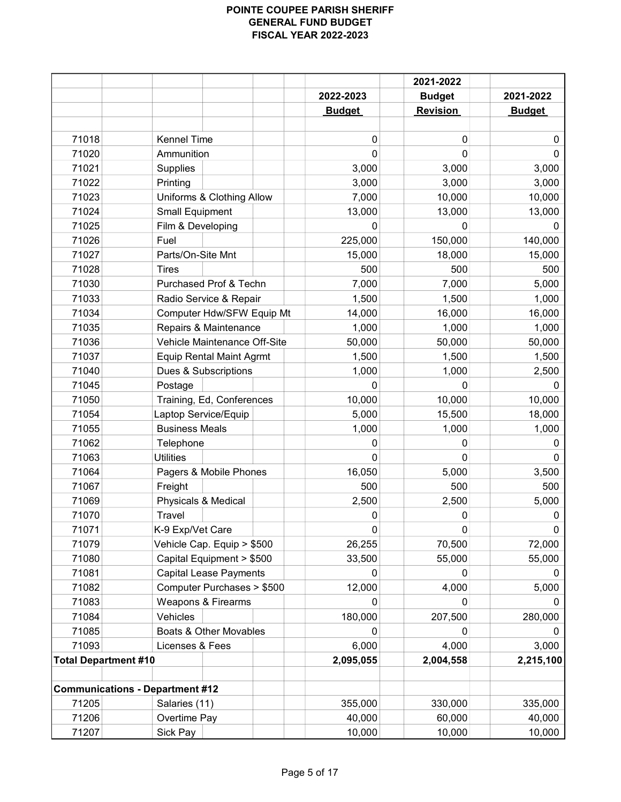|                             |                                        |               | 2021-2022       |               |
|-----------------------------|----------------------------------------|---------------|-----------------|---------------|
|                             |                                        | 2022-2023     | <b>Budget</b>   | 2021-2022     |
|                             |                                        | <b>Budget</b> | <b>Revision</b> | <b>Budget</b> |
|                             |                                        |               |                 |               |
| 71018                       | <b>Kennel Time</b>                     | $\mathbf 0$   | 0               | 0             |
| 71020                       | Ammunition                             | $\Omega$      | $\Omega$        | 0             |
| 71021                       | Supplies                               | 3,000         | 3,000           | 3,000         |
| 71022                       | Printing                               | 3,000         | 3,000           | 3,000         |
| 71023                       | Uniforms & Clothing Allow              | 7,000         | 10,000          | 10,000        |
| 71024                       | <b>Small Equipment</b>                 | 13,000        | 13,000          | 13,000        |
| 71025                       | Film & Developing                      | $\Omega$      | O               | 0             |
| 71026                       | Fuel                                   | 225,000       | 150,000         | 140,000       |
| 71027                       | Parts/On-Site Mnt                      | 15,000        | 18,000          | 15,000        |
| 71028                       | <b>Tires</b>                           | 500           | 500             | 500           |
| 71030                       | Purchased Prof & Techn                 | 7,000         | 7,000           | 5,000         |
| 71033                       | Radio Service & Repair                 | 1,500         | 1,500           | 1,000         |
| 71034                       | Computer Hdw/SFW Equip Mt              | 14,000        | 16,000          | 16,000        |
| 71035                       | Repairs & Maintenance                  | 1,000         | 1,000           | 1,000         |
| 71036                       | Vehicle Maintenance Off-Site           | 50,000        | 50,000          | 50,000        |
| 71037                       | <b>Equip Rental Maint Agrmt</b>        | 1,500         | 1,500           | 1,500         |
| 71040                       | Dues & Subscriptions                   | 1,000         | 1,000           | 2,500         |
| 71045                       | Postage                                | $\Omega$      | 0               | 0             |
| 71050                       | Training, Ed, Conferences              | 10,000        | 10,000          | 10,000        |
| 71054                       | Laptop Service/Equip                   | 5,000         | 15,500          | 18,000        |
| 71055                       | <b>Business Meals</b>                  | 1,000         | 1,000           | 1,000         |
| 71062                       | Telephone                              | 0             | 0               | 0             |
| 71063                       | <b>Utilities</b>                       | $\mathbf 0$   | $\Omega$        | 0             |
| 71064                       | Pagers & Mobile Phones                 | 16,050        | 5,000           | 3,500         |
| 71067                       | Freight                                | 500           | 500             | 500           |
| 71069                       | Physicals & Medical                    | 2,500         | 2,500           | 5,000         |
| 71070                       | Travel                                 | 0             | 0               | 0             |
| 71071                       | K-9 Exp/Vet Care                       | 0             | 0               | 0             |
| 71079                       | Vehicle Cap. Equip > \$500             | 26,255        | 70,500          | 72,000        |
| 71080                       | Capital Equipment > \$500              | 33,500        | 55,000          | 55,000        |
| 71081                       | <b>Capital Lease Payments</b>          | 0             | 0               |               |
| 71082                       | Computer Purchases > \$500             | 12,000        | 4,000           | 5,000         |
| 71083                       | Weapons & Firearms                     | 0             | 0               | 0             |
| 71084                       | Vehicles                               | 180,000       | 207,500         | 280,000       |
| 71085                       | Boats & Other Movables                 |               |                 |               |
| 71093                       | Licenses & Fees                        | 6,000         | 4,000           | 3,000         |
| <b>Total Department #10</b> |                                        | 2,095,055     | 2,004,558       | 2,215,100     |
|                             |                                        |               |                 |               |
|                             | <b>Communications - Department #12</b> |               |                 |               |
| 71205                       | Salaries (11)                          | 355,000       | 330,000         | 335,000       |
| 71206                       | Overtime Pay                           | 40,000        | 60,000          | 40,000        |
| 71207                       | Sick Pay                               | 10,000        | 10,000          | 10,000        |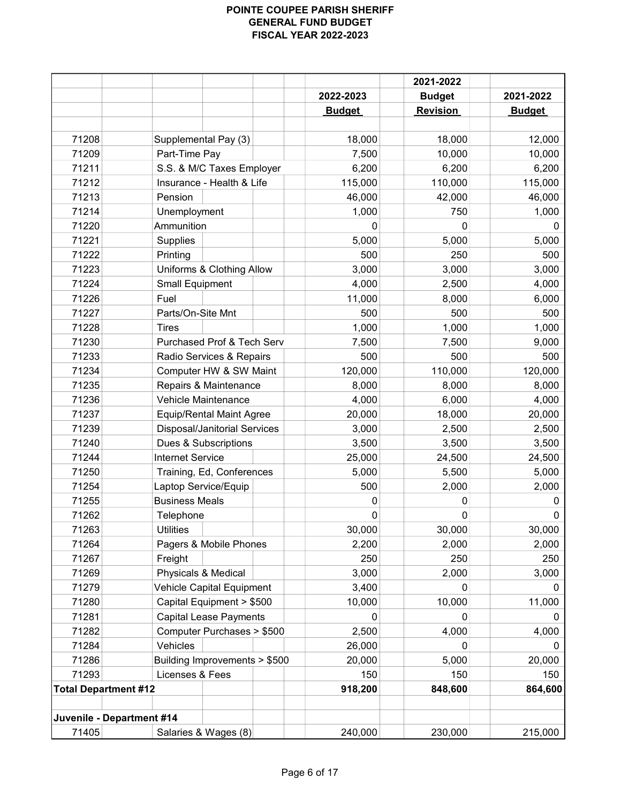|                             |                                     |               | 2021-2022       |               |
|-----------------------------|-------------------------------------|---------------|-----------------|---------------|
|                             |                                     | 2022-2023     | <b>Budget</b>   | 2021-2022     |
|                             |                                     | <b>Budget</b> | <b>Revision</b> | <b>Budget</b> |
|                             |                                     |               |                 |               |
| 71208                       | Supplemental Pay (3)                | 18,000        | 18,000          | 12,000        |
| 71209                       | Part-Time Pay                       | 7,500         | 10,000          | 10,000        |
| 71211                       | S.S. & M/C Taxes Employer           | 6,200         | 6,200           | 6,200         |
| 71212                       | Insurance - Health & Life           | 115,000       | 110,000         | 115,000       |
| 71213                       | Pension                             | 46,000        | 42,000          | 46,000        |
| 71214                       | Unemployment                        | 1,000         | 750             | 1,000         |
| 71220                       | Ammunition                          | 0             | 0               | 0             |
| 71221                       | Supplies                            | 5,000         | 5,000           | 5,000         |
| 71222                       | Printing                            | 500           | 250             | 500           |
| 71223                       | Uniforms & Clothing Allow           | 3,000         | 3,000           | 3,000         |
| 71224                       | <b>Small Equipment</b>              | 4,000         | 2,500           | 4,000         |
| 71226                       | Fuel                                | 11,000        | 8,000           | 6,000         |
| 71227                       | Parts/On-Site Mnt                   | 500           | 500             | 500           |
| 71228                       | <b>Tires</b>                        | 1,000         | 1,000           | 1,000         |
| 71230                       | Purchased Prof & Tech Serv          | 7,500         | 7,500           | 9,000         |
| 71233                       | Radio Services & Repairs            | 500           | 500             | 500           |
| 71234                       | Computer HW & SW Maint              | 120,000       | 110,000         | 120,000       |
| 71235                       | Repairs & Maintenance               | 8,000         | 8,000           | 8,000         |
| 71236                       | Vehicle Maintenance                 | 4,000         | 6,000           | 4,000         |
| 71237                       | <b>Equip/Rental Maint Agree</b>     | 20,000        | 18,000          | 20,000        |
| 71239                       | <b>Disposal/Janitorial Services</b> | 3,000         | 2,500           | 2,500         |
| 71240                       | Dues & Subscriptions                | 3,500         | 3,500           | 3,500         |
| 71244                       | <b>Internet Service</b>             | 25,000        | 24,500          | 24,500        |
| 71250                       | Training, Ed, Conferences           | 5,000         | 5,500           | 5,000         |
| 71254                       | Laptop Service/Equip                | 500           | 2,000           | 2,000         |
| 71255                       | <b>Business Meals</b>               | 0             | 0               | 0             |
| 71262                       | Telephone                           | 0             | 0               | $\pmb{0}$     |
| 71263                       | <b>Utilities</b>                    | 30,000        | 30,000          | 30,000        |
| 71264                       | Pagers & Mobile Phones              | 2,200         | 2,000           | 2,000         |
| 71267                       | Freight                             | 250           | 250             | 250           |
| 71269                       | Physicals & Medical                 | 3,000         | 2,000           | 3,000         |
| 71279                       | Vehicle Capital Equipment           | 3,400         | 0               | 0             |
| 71280                       | Capital Equipment > \$500           | 10,000        | 10,000          | 11,000        |
| 71281                       | <b>Capital Lease Payments</b>       | 0             | $\Omega$        | 0             |
| 71282                       | Computer Purchases > \$500          | 2,500         | 4,000           | 4,000         |
| 71284                       | Vehicles                            | 26,000        | 0               | 0             |
| 71286                       | Building Improvements > \$500       | 20,000        | 5,000           | 20,000        |
| 71293                       | Licenses & Fees                     | 150           | 150             | 150           |
| <b>Total Department #12</b> |                                     | 918,200       | 848,600         | 864,600       |
| Juvenile - Department #14   |                                     |               |                 |               |
| 71405                       | Salaries & Wages (8)                | 240,000       | 230,000         | 215,000       |
|                             |                                     |               |                 |               |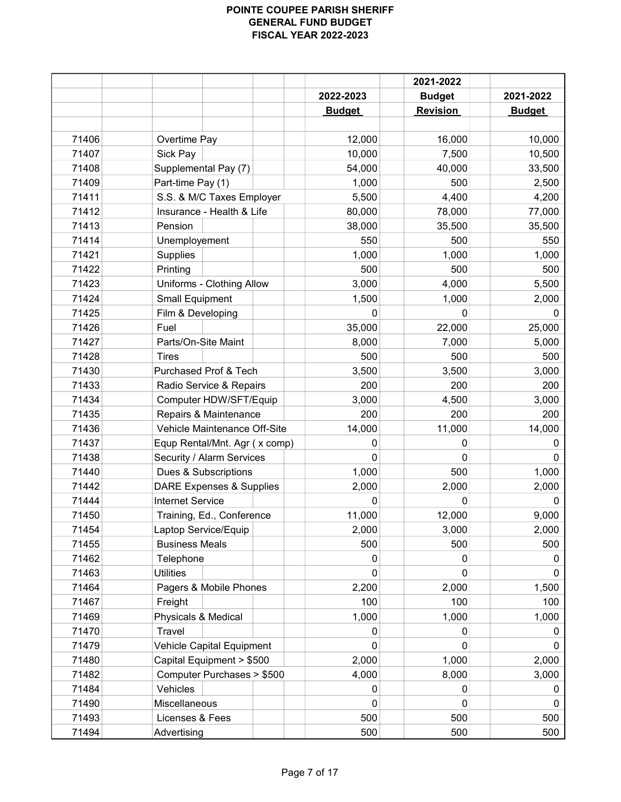|       |                                     |               | 2021-2022       |               |
|-------|-------------------------------------|---------------|-----------------|---------------|
|       |                                     | 2022-2023     | <b>Budget</b>   | 2021-2022     |
|       |                                     | <b>Budget</b> | <b>Revision</b> | <b>Budget</b> |
|       |                                     |               |                 |               |
| 71406 | Overtime Pay                        | 12,000        | 16,000          | 10,000        |
| 71407 | Sick Pay                            | 10,000        | 7,500           | 10,500        |
| 71408 | Supplemental Pay (7)                | 54,000        | 40,000          | 33,500        |
| 71409 | Part-time Pay (1)                   | 1,000         | 500             | 2,500         |
| 71411 | S.S. & M/C Taxes Employer           | 5,500         | 4,400           | 4,200         |
| 71412 | Insurance - Health & Life           | 80,000        | 78,000          | 77,000        |
| 71413 | Pension                             | 38,000        | 35,500          | 35,500        |
| 71414 | Unemployement                       | 550           | 500             | 550           |
| 71421 | <b>Supplies</b>                     | 1,000         | 1,000           | 1,000         |
| 71422 | Printing                            | 500           | 500             | 500           |
| 71423 | Uniforms - Clothing Allow           | 3,000         | 4,000           | 5,500         |
| 71424 | <b>Small Equipment</b>              | 1,500         | 1,000           | 2,000         |
| 71425 | Film & Developing                   | 0             | 0               | 0             |
| 71426 | Fuel                                | 35,000        | 22,000          | 25,000        |
| 71427 | Parts/On-Site Maint                 | 8,000         | 7,000           | 5,000         |
| 71428 | <b>Tires</b>                        | 500           | 500             | 500           |
| 71430 | Purchased Prof & Tech               | 3,500         | 3,500           | 3,000         |
| 71433 | Radio Service & Repairs             | 200           | 200             | 200           |
| 71434 | Computer HDW/SFT/Equip              | 3,000         | 4,500           | 3,000         |
| 71435 | Repairs & Maintenance               | 200           | 200             | 200           |
| 71436 | Vehicle Maintenance Off-Site        | 14,000        | 11,000          | 14,000        |
| 71437 | Equp Rental/Mnt. Agr (x comp)       | 0             | 0               | 0             |
| 71438 | Security / Alarm Services           | $\mathbf 0$   | 0               | 0             |
| 71440 | Dues & Subscriptions                | 1,000         | 500             | 1,000         |
| 71442 | <b>DARE Expenses &amp; Supplies</b> | 2,000         | 2,000           | 2,000         |
| 71444 | <b>Internet Service</b>             | 0             | 0               | $\Omega$      |
| 71450 | Training, Ed., Conference           | 11,000        | 12,000          | 9,000         |
| 71454 | Laptop Service/Equip                | 2,000         | 3,000           | 2,000         |
| 71455 | <b>Business Meals</b>               | 500           | 500             | 500           |
| 71462 | Telephone                           | 0             | 0               | 0             |
| 71463 | <b>Utilities</b>                    | 0             | 0               | 0             |
| 71464 | Pagers & Mobile Phones              | 2,200         | 2,000           | 1,500         |
| 71467 | Freight                             | 100           | 100             | 100           |
| 71469 | Physicals & Medical                 | 1,000         | 1,000           | 1,000         |
| 71470 | Travel                              | 0             |                 | O             |
| 71479 | Vehicle Capital Equipment           | 0             | 0               | 0             |
| 71480 | Capital Equipment > \$500           | 2,000         | 1,000           | 2,000         |
| 71482 | Computer Purchases > \$500          | 4,000         | 8,000           | 3,000         |
| 71484 | Vehicles                            | 0             | 0               | 0             |
| 71490 | Miscellaneous                       | $\mathbf{0}$  | 0               | 0             |
| 71493 | Licenses & Fees                     | 500           | 500             | 500           |
| 71494 | Advertising                         | 500           | 500             | 500           |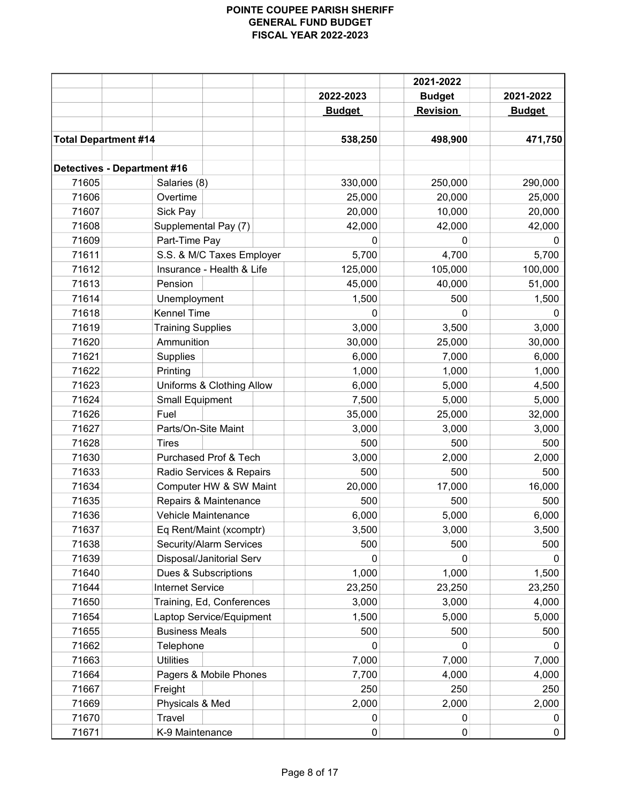|                                    |                               |               | 2021-2022       |               |
|------------------------------------|-------------------------------|---------------|-----------------|---------------|
|                                    |                               | 2022-2023     | <b>Budget</b>   | 2021-2022     |
|                                    |                               | <b>Budget</b> | <b>Revision</b> | <b>Budget</b> |
|                                    |                               |               |                 |               |
| <b>Total Department #14</b>        |                               | 538,250       | 498,900         | 471,750       |
|                                    |                               |               |                 |               |
| <b>Detectives - Department #16</b> |                               |               |                 |               |
| 71605                              | Salaries (8)                  | 330,000       | 250,000         | 290,000       |
| 71606                              | Overtime                      | 25,000        | 20,000          | 25,000        |
| 71607                              | Sick Pay                      | 20,000        | 10,000          | 20,000        |
| 71608                              | Supplemental Pay (7)          | 42,000        | 42,000          | 42,000        |
| 71609                              | Part-Time Pay                 | 0             | 0               | 0             |
| 71611                              | S.S. & M/C Taxes Employer     | 5,700         | 4,700           | 5,700         |
| 71612                              | Insurance - Health & Life     | 125,000       | 105,000         | 100,000       |
| 71613                              | Pension                       | 45,000        | 40,000          | 51,000        |
| 71614                              | Unemployment                  | 1,500         | 500             | 1,500         |
| 71618                              | <b>Kennel Time</b>            | 0             | 0               | 0             |
| 71619                              | <b>Training Supplies</b>      | 3,000         | 3,500           | 3,000         |
| 71620                              | Ammunition                    | 30,000        | 25,000          | 30,000        |
| 71621                              | Supplies                      | 6,000         | 7,000           | 6,000         |
| 71622                              | Printing                      | 1,000         | 1,000           | 1,000         |
| 71623                              | Uniforms & Clothing Allow     | 6,000         | 5,000           | 4,500         |
| 71624                              | <b>Small Equipment</b>        | 7,500         | 5,000           | 5,000         |
| 71626                              | Fuel                          | 35,000        | 25,000          | 32,000        |
| 71627                              | Parts/On-Site Maint           | 3,000         | 3,000           | 3,000         |
| 71628                              | <b>Tires</b>                  | 500           | 500             | 500           |
| 71630                              | Purchased Prof & Tech         | 3,000         | 2,000           | 2,000         |
| 71633                              | Radio Services & Repairs      | 500           | 500             | 500           |
| 71634                              | Computer HW & SW Maint        | 20,000        | 17,000          | 16,000        |
| 71635                              | Repairs & Maintenance         | 500           | 500             | 500           |
| 71636                              | Vehicle Maintenance           | 6,000         | 5,000           | 6,000         |
| 71637                              | Eq Rent/Maint (xcomptr)       | 3,500         | 3,000           | 3,500         |
| 71638                              | Security/Alarm Services       | 500           | 500             | 500           |
| 71639                              | Disposal/Janitorial Serv      | 0             | 0               |               |
| 71640                              | Dues & Subscriptions          | 1,000         | 1,000           | 1,500         |
| 71644                              | <b>Internet Service</b>       | 23,250        | 23,250          | 23,250        |
| 71650                              | Training, Ed, Conferences     | 3,000         | 3,000           | 4,000         |
| 71654                              | Laptop Service/Equipment      | 1,500         | 5,000           | 5,000         |
| 71655                              | <b>Business Meals</b>         | 500           | 500             | 500           |
| 71662                              |                               | 0             | 0               | 0             |
| 71663                              | Telephone<br><b>Utilities</b> |               | 7,000           | 7,000         |
|                                    |                               | 7,000         |                 |               |
| 71664                              | Pagers & Mobile Phones        | 7,700         | 4,000           | 4,000         |
| 71667                              | Freight                       | 250           | 250             | 250           |
| 71669                              | Physicals & Med               | 2,000         | 2,000           | 2,000         |
| 71670                              | Travel                        | 0             | 0               | 0             |
| 71671                              | K-9 Maintenance               | 0             | 0               | 0             |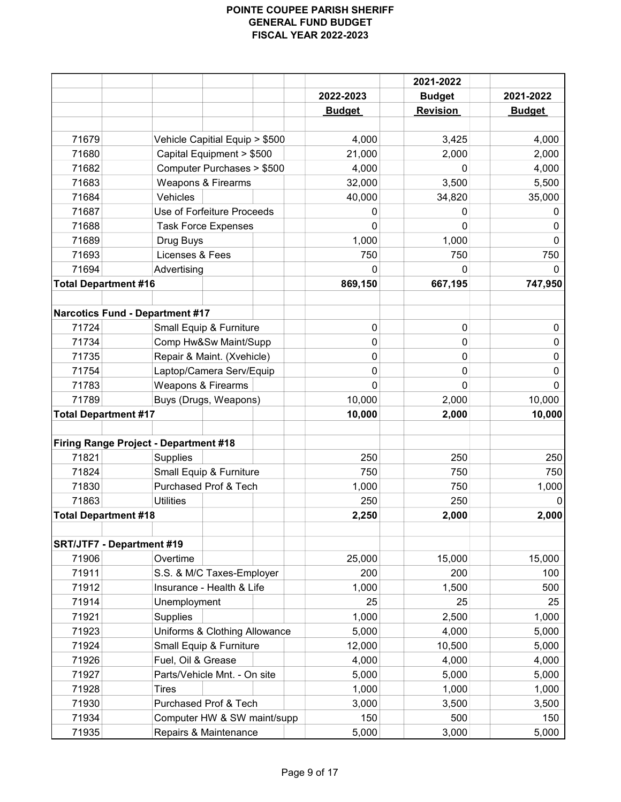|                                |                                              |                                |                  | 2021-2022     |               |
|--------------------------------|----------------------------------------------|--------------------------------|------------------|---------------|---------------|
|                                |                                              |                                | 2022-2023        | <b>Budget</b> | 2021-2022     |
|                                |                                              |                                | <b>Budget</b>    | Revision      | <b>Budget</b> |
|                                |                                              |                                |                  |               |               |
| 71679                          |                                              | Vehicle Capitial Equip > \$500 | 4,000            | 3,425         | 4,000         |
| 71680                          |                                              | Capital Equipment > \$500      | 21,000           | 2,000         | 2,000         |
| 71682                          |                                              | Computer Purchases > \$500     | 4,000            | 0             | 4,000         |
| 71683                          |                                              | Weapons & Firearms             | 32,000           | 3,500         | 5,500         |
| 71684                          | Vehicles                                     |                                | 40,000           | 34,820        | 35,000        |
| 71687                          |                                              | Use of Forfeiture Proceeds     | 0                | 0             | 0             |
| 71688                          |                                              | <b>Task Force Expenses</b>     | 0                | O             | 0             |
| 71689                          | Drug Buys                                    |                                | 1,000            | 1,000         | $\mathbf{0}$  |
| 71693                          | Licenses & Fees                              |                                | 750              | 750           | 750           |
| 71694                          | Advertising                                  |                                | $\Omega$         | 0             | $\Omega$      |
|                                | <b>Total Department #16</b>                  |                                | 869,150          | 667,195       | 747,950       |
|                                |                                              |                                |                  |               |               |
|                                | <b>Narcotics Fund - Department #17</b>       |                                |                  |               |               |
| 71724                          |                                              | Small Equip & Furniture        | $\mathbf 0$<br>0 | 0             | 0             |
| 71734                          |                                              | Comp Hw&Sw Maint/Supp          |                  | 0             | $\mathbf{0}$  |
| 71735                          |                                              | Repair & Maint. (Xvehicle)     |                  | 0             | $\mathbf{0}$  |
| 71754                          |                                              | Laptop/Camera Serv/Equip       |                  | 0             | 0             |
| 71783                          |                                              | Weapons & Firearms             |                  | 0             | $\mathbf{0}$  |
| 71789<br>Buys (Drugs, Weapons) |                                              |                                | 10,000           | 2,000         | 10,000        |
|                                | <b>Total Department #17</b>                  |                                | 10,000           | 2,000         | 10,000        |
|                                | <b>Firing Range Project - Department #18</b> |                                |                  |               |               |
| 71821                          | Supplies                                     |                                | 250              | 250           | 250           |
| 71824                          |                                              | Small Equip & Furniture        | 750              | 750           | 750           |
| 71830                          |                                              | Purchased Prof & Tech          | 1,000            | 750           | 1,000         |
| 71863                          | <b>Utilities</b>                             |                                | 250              | 250           |               |
|                                | <b>Total Department #18</b>                  |                                | 2,250            | 2,000         | 2,000         |
|                                |                                              |                                |                  |               |               |
|                                | <b>SRT/JTF7 - Department #19</b>             |                                |                  |               |               |
| 71906                          | Overtime                                     |                                | 25,000           | 15,000        | 15,000        |
| 71911                          |                                              | S.S. & M/C Taxes-Employer      | 200              | 200           | 100           |
| 71912                          |                                              | Insurance - Health & Life      | 1,000            | 1,500         | 500           |
| 71914                          | Unemployment                                 |                                | 25               | 25            | 25            |
| 71921                          | Supplies                                     |                                | 1,000            | 2,500         | 1,000         |
| 71923                          |                                              | Uniforms & Clothing Allowance  | 5,000            | 4,000         | 5,000         |
| 71924                          |                                              | Small Equip & Furniture        | 12,000           | 10,500        | 5,000         |
| 71926                          | Fuel, Oil & Grease                           |                                | 4,000            | 4,000         | 4,000         |
| 71927                          |                                              | Parts/Vehicle Mnt. - On site   | 5,000            | 5,000         | 5,000         |
| 71928                          | <b>Tires</b>                                 |                                | 1,000            | 1,000         | 1,000         |
| 71930                          |                                              | Purchased Prof & Tech          | 3,000            | 3,500         | 3,500         |
| 71934                          |                                              | Computer HW & SW maint/supp    | 150              | 500           | 150           |
| 71935                          |                                              | Repairs & Maintenance          | 5,000            | 3,000         | 5,000         |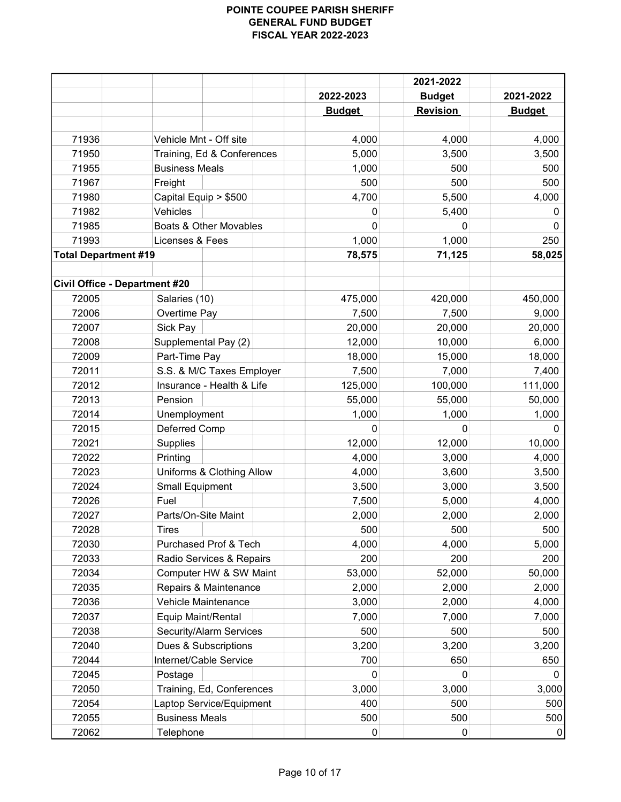|                                      |                                                |               | 2021-2022     |               |
|--------------------------------------|------------------------------------------------|---------------|---------------|---------------|
|                                      |                                                | 2022-2023     | <b>Budget</b> | 2021-2022     |
|                                      |                                                | <b>Budget</b> | Revision      | <b>Budget</b> |
|                                      |                                                |               |               |               |
| 71936                                | Vehicle Mnt - Off site                         | 4,000         | 4,000         | 4,000         |
| 71950                                | Training, Ed & Conferences                     | 5,000         | 3,500         | 3,500         |
| 71955                                | <b>Business Meals</b>                          | 1,000         | 500           | 500           |
| 71967                                | Freight                                        | 500           | 500           | 500           |
| 71980                                | Capital Equip > \$500                          | 4,700         | 5,500         | 4,000         |
| 71982                                | Vehicles                                       | 0             | 5,400         | 0             |
| 71985                                | Boats & Other Movables                         | 0             | 0             | 0             |
| 71993                                | Licenses & Fees                                | 1,000         | 1,000         | 250           |
| <b>Total Department #19</b>          |                                                | 78,575        | 71,125        | 58,025        |
| <b>Civil Office - Department #20</b> |                                                |               |               |               |
| 72005                                | Salaries (10)                                  | 475,000       | 420,000       | 450,000       |
| 72006                                | Overtime Pay                                   | 7,500         | 7,500         | 9,000         |
| 72007                                | Sick Pay                                       | 20,000        | 20,000        | 20,000        |
| 72008                                | Supplemental Pay (2)                           | 12,000        | 10,000        | 6,000         |
| 72009                                | Part-Time Pay                                  | 18,000        | 15,000        | 18,000        |
| 72011                                | S.S. & M/C Taxes Employer                      | 7,500         | 7,000         | 7,400         |
| 72012                                | Insurance - Health & Life                      | 125,000       | 100,000       | 111,000       |
| 72013                                | Pension                                        | 55,000        | 55,000        | 50,000        |
| 72014                                | Unemployment                                   | 1,000         | 1,000         | 1,000         |
| 72015                                | Deferred Comp                                  | 0             | 0             | 0             |
| 72021                                | Supplies                                       | 12,000        | 12,000        | 10,000        |
| 72022                                | Printing                                       | 4,000         | 3,000         | 4,000         |
| 72023                                | Uniforms & Clothing Allow                      | 4,000         | 3,600         | 3,500         |
| 72024                                | <b>Small Equipment</b>                         | 3,500         | 3,000         | 3,500         |
| 72026                                | Fuel                                           | 7,500         | 5,000         | 4,000         |
| 72027                                | Parts/On-Site Maint                            | 2,000         | 2,000         | 2,000         |
| 72028                                | Tires                                          | 500           | 500           | 500           |
| 72030                                | Purchased Prof & Tech                          | 4,000         | 4,000         | 5,000         |
| 72033                                | Radio Services & Repairs                       | 200           | 200           | 200           |
| 72034                                | Computer HW & SW Maint                         | 53,000        | 52,000        | 50,000        |
| 72035                                | Repairs & Maintenance                          | 2,000         | 2,000         | 2,000         |
| 72036                                | Vehicle Maintenance                            | 3,000         | 2,000         | 4,000         |
| 72037                                | Equip Maint/Rental                             | 7,000         | 7,000         | 7,000         |
| 72038                                | Security/Alarm Services                        | 500           | 500           | 500           |
| 72040                                |                                                |               |               |               |
|                                      | Dues & Subscriptions<br>Internet/Cable Service | 3,200         | 3,200         | 3,200         |
| 72044                                |                                                | 700           | 650           | 650           |
| 72045                                | Postage                                        | 0             | 0             | 0             |
| 72050                                | Training, Ed, Conferences                      | 3,000         | 3,000         | 3,000         |
| 72054                                | Laptop Service/Equipment                       | 400           | 500           | 500           |
| 72055                                | <b>Business Meals</b>                          | 500           | 500           | 500           |
| 72062                                | Telephone                                      | 0             | 0             | 0             |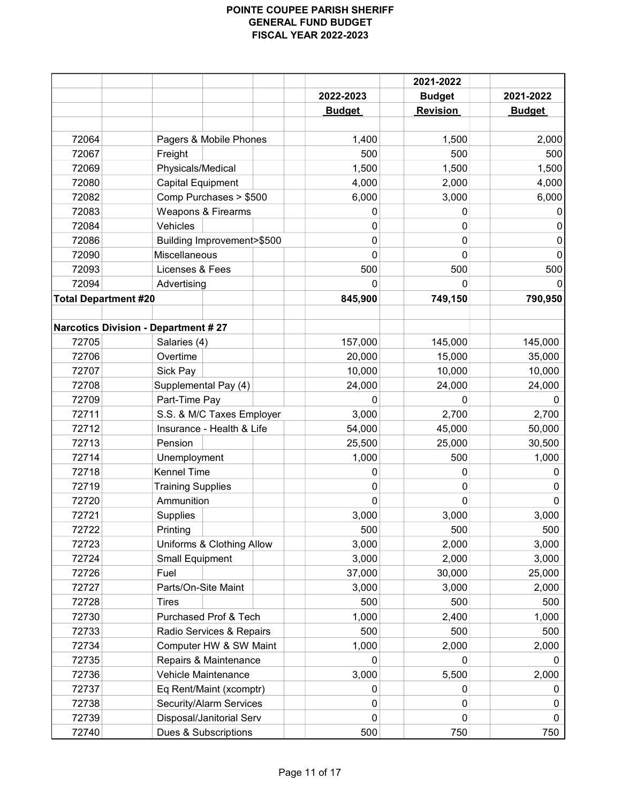|                             |                                            |               | 2021-2022     |               |
|-----------------------------|--------------------------------------------|---------------|---------------|---------------|
|                             |                                            | 2022-2023     | <b>Budget</b> | 2021-2022     |
|                             |                                            | <b>Budget</b> | Revision      | <b>Budget</b> |
|                             |                                            |               |               |               |
| 72064                       | Pagers & Mobile Phones                     | 1,400         | 1,500         | 2,000         |
| 72067                       | Freight                                    | 500           | 500           | 500           |
| 72069                       | Physicals/Medical                          | 1,500         | 1,500         | 1,500         |
| 72080                       | <b>Capital Equipment</b>                   | 4,000         | 2,000         | 4,000         |
| 72082                       | Comp Purchases > \$500                     | 6,000         | 3,000         | 6,000         |
| 72083                       | <b>Weapons &amp; Firearms</b>              | 0             | 0             |               |
| 72084                       | Vehicles                                   | 0             | 0             | O             |
| 72086                       | Building Improvement>\$500                 | 0             | 0             | 0             |
| 72090                       | Miscellaneous                              | 0             | 0             | 0             |
| 72093                       | Licenses & Fees                            | 500           | 500           | 500           |
| 72094                       | Advertising                                | 0             | 0             |               |
| <b>Total Department #20</b> |                                            | 845,900       | 749,150       | 790,950       |
|                             |                                            |               |               |               |
|                             | <b>Narcotics Division - Department #27</b> |               |               |               |
| 72705                       | Salaries (4)                               | 157,000       | 145,000       | 145,000       |
| 72706                       | Overtime                                   | 20,000        | 15,000        | 35,000        |
| 72707                       | Sick Pay                                   | 10,000        | 10,000        | 10,000        |
| 72708                       | Supplemental Pay (4)                       | 24,000        | 24,000        | 24,000        |
| 72709                       | Part-Time Pay                              | 0             | 0             | 0             |
| 72711                       | S.S. & M/C Taxes Employer                  | 3,000         | 2,700         | 2,700         |
| 72712                       | Insurance - Health & Life                  | 54,000        | 45,000        | 50,000        |
| 72713                       | Pension                                    | 25,500        | 25,000        | 30,500        |
| 72714                       | Unemployment                               | 1,000         | 500           | 1,000         |
| 72718                       | <b>Kennel Time</b>                         | 0             | 0             | 0             |
| 72719                       | <b>Training Supplies</b>                   | 0             | 0             | 0             |
| 72720                       | Ammunition                                 | 0             | 0             | $\Omega$      |
| 72721                       | <b>Supplies</b>                            | 3,000         | 3,000         | 3,000         |
| 72722                       | Printing                                   | 500           | 500           | 500           |
| 72723                       | Uniforms & Clothing Allow                  | 3,000         | 2,000         | 3,000         |
| 72724                       | <b>Small Equipment</b>                     | 3,000         | 2,000         | 3,000         |
| 72726                       | Fuel                                       | 37,000        | 30,000        | 25,000        |
| 72727                       | Parts/On-Site Maint                        | 3,000         | 3,000         | 2,000         |
| 72728                       | <b>Tires</b>                               | 500           | 500           | 500           |
| 72730                       | Purchased Prof & Tech                      | 1,000         | 2,400         | 1,000         |
| 72733                       | Radio Services & Repairs                   | 500           | 500           | 500           |
|                             | Computer HW & SW Maint                     |               |               |               |
| 72734                       |                                            | 1,000         | 2,000         | 2,000         |
| 72735                       | Repairs & Maintenance                      | 0             | 0             | 0             |
| 72736                       | Vehicle Maintenance                        | 3,000         | 5,500         | 2,000         |
| 72737                       | Eq Rent/Maint (xcomptr)                    | 0             | 0             | 0             |
| 72738                       | Security/Alarm Services                    | 0             | 0             | 0             |
| 72739                       | Disposal/Janitorial Serv                   | 0             | 0             | 0             |
| 72740                       | Dues & Subscriptions                       | 500           | 750           | 750           |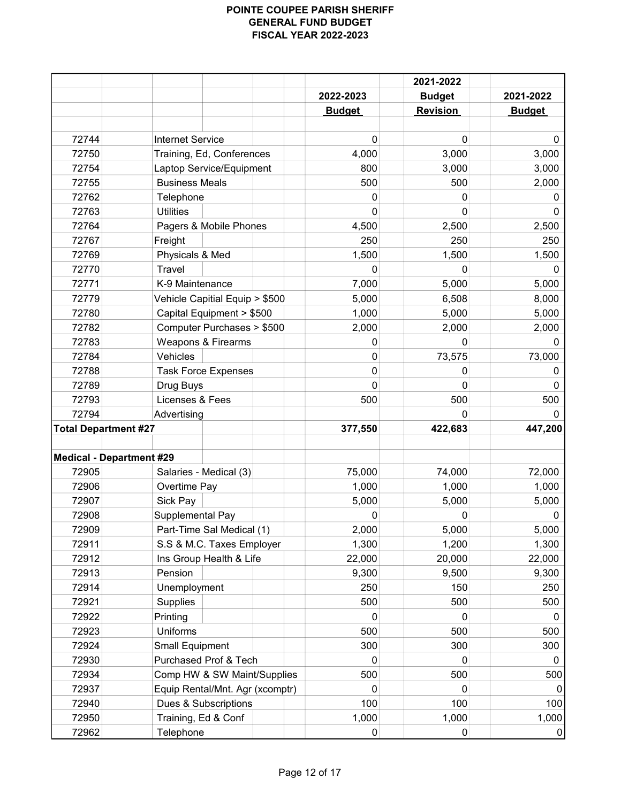|                                 |                                                   |               | 2021-2022       |               |
|---------------------------------|---------------------------------------------------|---------------|-----------------|---------------|
|                                 |                                                   | 2022-2023     | <b>Budget</b>   | 2021-2022     |
|                                 |                                                   | <b>Budget</b> | <b>Revision</b> | <b>Budget</b> |
|                                 |                                                   |               |                 |               |
| 72744                           | <b>Internet Service</b>                           | 0             | 0               | 0             |
| 72750                           | Training, Ed, Conferences                         | 4,000         | 3,000           | 3,000         |
| 72754<br>72755                  | Laptop Service/Equipment<br><b>Business Meals</b> | 800<br>500    | 3,000<br>500    | 3,000         |
| 72762                           | Telephone                                         | 0             | 0               | 2,000<br>0    |
| 72763                           | <b>Utilities</b>                                  | 0             | O               | 0             |
| 72764                           | Pagers & Mobile Phones                            | 4,500         | 2,500           | 2,500         |
| 72767                           | Freight                                           | 250           | 250             | 250           |
| 72769                           | Physicals & Med                                   | 1,500         | 1,500           | 1,500         |
| 72770                           | <b>Travel</b>                                     | $\Omega$      | $\Omega$        | <sup>0</sup>  |
| 72771                           | K-9 Maintenance                                   | 7,000         | 5,000           | 5,000         |
| 72779                           | Vehicle Capitial Equip > \$500                    | 5,000         | 6,508           | 8,000         |
| 72780                           | Capital Equipment > \$500                         | 1,000         | 5,000           | 5,000         |
| 72782                           | Computer Purchases > \$500                        | 2,000         | 2,000           | 2,000         |
| 72783                           | Weapons & Firearms                                | 0             | $\Omega$        | <sup>0</sup>  |
| 72784                           | Vehicles                                          | 0             | 73,575          | 73,000        |
| 72788                           | <b>Task Force Expenses</b>                        | 0             | 0               | $\Omega$      |
| 72789                           | Drug Buys                                         | 0             | 0               | 0             |
| 72793                           | Licenses & Fees                                   | 500           | 500             | 500           |
| 72794                           | Advertising                                       |               | 0               | 0             |
| <b>Total Department #27</b>     |                                                   | 377,550       | 422,683         | 447,200       |
|                                 |                                                   |               |                 |               |
| <b>Medical - Department #29</b> |                                                   |               |                 |               |
| 72905                           | Salaries - Medical (3)                            | 75,000        | 74,000          | 72,000        |
| 72906                           | Overtime Pay                                      | 1,000         | 1,000           | 1,000         |
| 72907                           | Sick Pay                                          | 5,000         | 5,000           | 5,000         |
| 72908                           | Supplemental Pay                                  | 0             | 0               | 0             |
| 72909                           | Part-Time Sal Medical (1)                         | 2,000         | 5,000           | 5,000         |
| 72911                           | S.S & M.C. Taxes Employer                         | 1,300         | 1,200           | 1,300         |
| 72912                           | Ins Group Health & Life                           | 22,000        | 20,000          | 22,000        |
| 72913                           | Pension                                           | 9,300         | 9,500           | 9,300         |
| 72914                           | Unemployment                                      | 250           | 150             | 250           |
| 72921                           | Supplies                                          | 500           | 500             | 500           |
| 72922                           | Printing                                          | 0             | 0               | 0             |
| 72923                           | Uniforms                                          | 500           | 500             | 500           |
| 72924                           | <b>Small Equipment</b>                            | 300           | 300             | 300           |
| 72930                           | Purchased Prof & Tech                             | 0             | 0               | 0             |
| 72934                           | Comp HW & SW Maint/Supplies                       | 500           | 500             | 500           |
| 72937                           | Equip Rental/Mnt. Agr (xcomptr)                   | 0             | 0               | 0             |
| 72940                           | Dues & Subscriptions                              | 100           | 100             | 100           |
| 72950                           | Training, Ed & Conf                               | 1,000         | 1,000           | 1,000         |
| 72962                           | Telephone                                         | 0             | 0               | 0             |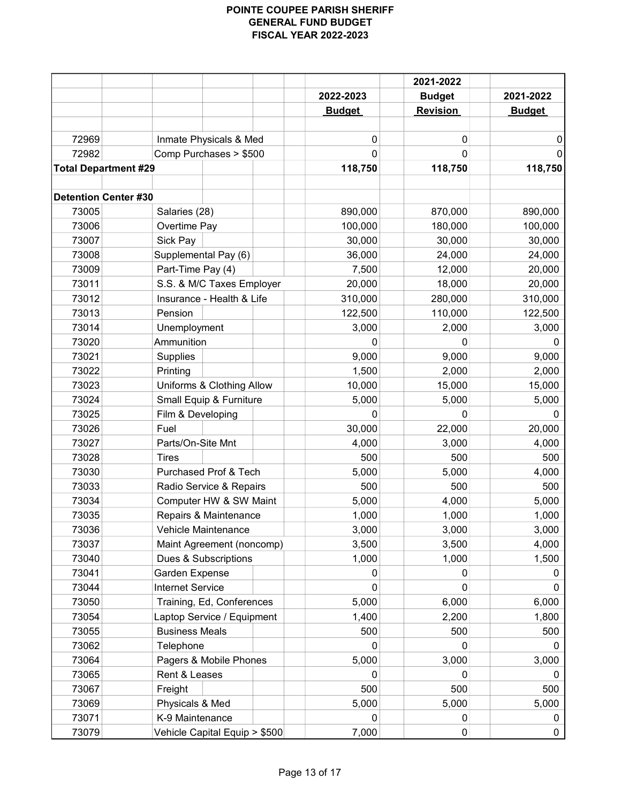|                             |                               |               | 2021-2022<br>2022-2023<br><b>Budget</b> | 2021-2022     |
|-----------------------------|-------------------------------|---------------|-----------------------------------------|---------------|
|                             |                               | <b>Budget</b> |                                         |               |
|                             |                               |               | <b>Revision</b>                         | <b>Budget</b> |
|                             |                               |               |                                         |               |
| 72969                       | Inmate Physicals & Med        | 0             | 0                                       | 0             |
| 72982                       | Comp Purchases > \$500        | 0             | 0                                       | 0             |
| <b>Total Department #29</b> |                               | 118,750       | 118,750                                 | 118,750       |
| <b>Detention Center #30</b> |                               |               |                                         |               |
| 73005                       | Salaries (28)                 | 890,000       | 870,000                                 | 890,000       |
| 73006                       | Overtime Pay                  | 100,000       | 180,000                                 | 100,000       |
| 73007                       | Sick Pay                      | 30,000        | 30,000                                  | 30,000        |
| 73008                       | Supplemental Pay (6)          | 36,000        | 24,000                                  | 24,000        |
| 73009                       | Part-Time Pay (4)             | 7,500         | 12,000                                  | 20,000        |
| 73011                       | S.S. & M/C Taxes Employer     | 20,000        | 18,000                                  | 20,000        |
| 73012                       | Insurance - Health & Life     | 310,000       | 280,000                                 | 310,000       |
| 73013                       | Pension                       | 122,500       | 110,000                                 | 122,500       |
| 73014                       | Unemployment                  | 3,000         | 2,000                                   | 3,000         |
| 73020                       | Ammunition                    | $\Omega$      | 0                                       | 0             |
| 73021                       | <b>Supplies</b>               | 9,000         | 9,000                                   | 9,000         |
| 73022                       | Printing                      | 1,500         | 2,000                                   | 2,000         |
| 73023                       | Uniforms & Clothing Allow     | 10,000        | 15,000                                  | 15,000        |
| 73024                       | Small Equip & Furniture       | 5,000         | 5,000                                   | 5,000         |
| 73025                       | Film & Developing             | 0             | 0                                       | 0             |
| 73026                       | Fuel                          | 30,000        | 22,000                                  | 20,000        |
| 73027                       | Parts/On-Site Mnt             | 4,000         | 3,000                                   | 4,000         |
| 73028                       | <b>Tires</b>                  | 500           | 500                                     | 500           |
| 73030                       | Purchased Prof & Tech         | 5,000         | 5,000                                   | 4,000         |
| 73033                       | Radio Service & Repairs       | 500           | 500                                     | 500           |
| 73034                       | Computer HW & SW Maint        | 5,000         | 4,000                                   | 5,000         |
| 73035                       | Repairs & Maintenance         | 1,000         | 1,000                                   | 1,000         |
| 73036                       | Vehicle Maintenance           | 3,000         | 3,000                                   | 3,000         |
| 73037                       | Maint Agreement (noncomp)     | 3,500         | 3,500                                   | 4,000         |
| 73040                       | Dues & Subscriptions          | 1,000         | 1,000                                   | 1,500         |
| 73041                       | Garden Expense                | 0             | 0                                       | 0             |
| 73044                       | <b>Internet Service</b>       | 0             | 0                                       | $\mathbf{0}$  |
| 73050                       | Training, Ed, Conferences     | 5,000         | 6,000                                   | 6,000         |
| 73054                       | Laptop Service / Equipment    | 1,400         | 2,200                                   | 1,800         |
| 73055                       | <b>Business Meals</b>         | 500           | 500                                     | 500           |
| 73062                       | Telephone                     | 0             | 0                                       | 0             |
| 73064                       |                               |               | 3,000                                   |               |
|                             | Pagers & Mobile Phones        | 5,000         |                                         | 3,000<br>0    |
| 73065                       | Rent & Leases                 | 0             | 0                                       |               |
| 73067                       | Freight                       | 500           | 500                                     | 500           |
| 73069                       | Physicals & Med               | 5,000         | 5,000                                   | 5,000         |
| 73071                       | K-9 Maintenance               | 0             | 0                                       | 0             |
| 73079                       | Vehicle Capital Equip > \$500 | 7,000         | 0                                       | 0             |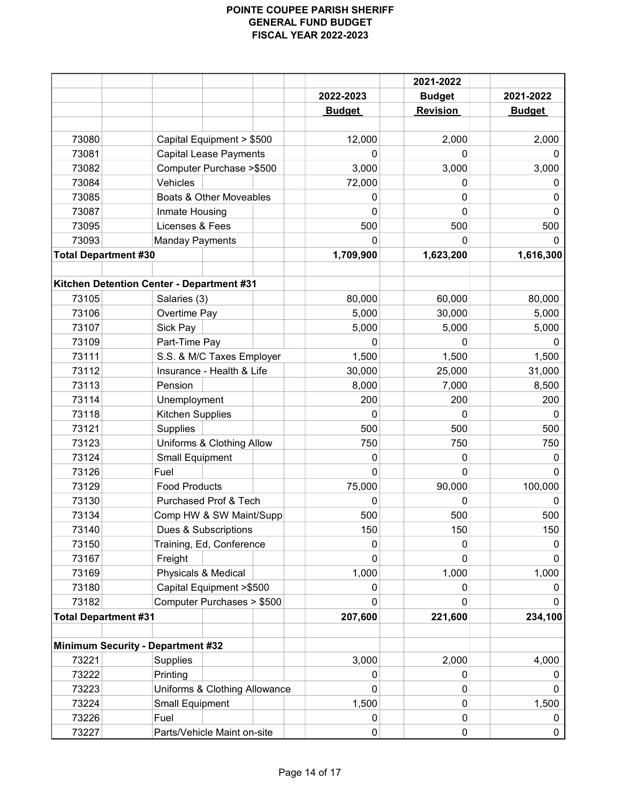|                                          |                                           | 2021-2022     |                 |               |
|------------------------------------------|-------------------------------------------|---------------|-----------------|---------------|
|                                          |                                           | 2022-2023     | <b>Budget</b>   | 2021-2022     |
|                                          |                                           | <b>Budget</b> | <b>Revision</b> | <b>Budget</b> |
|                                          |                                           |               |                 |               |
| 73080                                    | Capital Equipment > \$500                 | 12,000        | 2,000           | 2,000         |
| 73081                                    | <b>Capital Lease Payments</b>             | $\Omega$      | 0               | 0             |
| 73082                                    | Computer Purchase > \$500                 | 3,000         | 3,000           | 3,000         |
| 73084                                    | Vehicles                                  | 72,000        | 0               | 0             |
| 73085                                    | Boats & Other Moveables                   | 0             | 0               | 0             |
| 73087                                    | Inmate Housing                            | 0             | 0               | $\Omega$      |
| 73095                                    | Licenses & Fees                           | 500           | 500             | 500           |
| 73093                                    | <b>Manday Payments</b>                    | 0             | 0               | 0             |
| <b>Total Department #30</b>              |                                           | 1,709,900     | 1,623,200       | 1,616,300     |
|                                          |                                           |               |                 |               |
|                                          | Kitchen Detention Center - Department #31 |               |                 |               |
| 73105                                    | Salaries (3)                              | 80,000        | 60,000          | 80,000        |
| 73106                                    | Overtime Pay                              | 5,000         | 30,000          | 5,000         |
| 73107                                    | Sick Pay                                  | 5,000         | 5,000           | 5,000         |
| 73109                                    | Part-Time Pay                             | 0             | 0               | $\Omega$      |
| 73111                                    | S.S. & M/C Taxes Employer                 | 1,500         | 1,500           | 1,500         |
| 73112                                    | Insurance - Health & Life                 | 30,000        | 25,000          | 31,000        |
| 73113                                    | Pension                                   | 8,000         | 7,000           | 8,500         |
| 73114                                    | Unemployment                              | 200           | 200             | 200           |
| 73118                                    | Kitchen Supplies                          | $\Omega$      | $\Omega$        | 0             |
| 73121                                    | <b>Supplies</b>                           | 500           | 500             | 500           |
| 73123                                    | Uniforms & Clothing Allow                 | 750           | 750             | 750           |
| 73124                                    | <b>Small Equipment</b>                    | 0             | 0               | 0             |
| 73126                                    | Fuel                                      | 0             | 0               | $\mathbf 0$   |
| 73129                                    | <b>Food Products</b>                      | 75,000        | 90,000          | 100,000       |
| 73130                                    | Purchased Prof & Tech                     | 0             | 0               | 0             |
| 73134                                    | Comp HW & SW Maint/Supp                   | 500           | 500             | 500           |
| 73140                                    | Dues & Subscriptions                      | 150           | 150             | 150           |
| 73150                                    | Training, Ed, Conference                  | 0             | 0               | 0             |
| 73167                                    | Freight                                   | 0             | 0               | 0             |
| 73169                                    | Physicals & Medical                       | 1,000         | 1,000           | 1,000         |
| 73180                                    | Capital Equipment > \$500                 | 0             | 0               | 0             |
| 73182                                    | Computer Purchases > \$500                | 0             | 0               |               |
| <b>Total Department #31</b>              |                                           | 207,600       | 221,600         | 234,100       |
|                                          |                                           |               |                 |               |
| <b>Minimum Security - Department #32</b> |                                           |               |                 |               |
| 73221                                    | <b>Supplies</b>                           | 3,000         | 2,000           | 4,000         |
| 73222                                    | Printing                                  | 0             | 0               | 0             |
| 73223                                    | Uniforms & Clothing Allowance             | 0             | 0               | 0             |
| 73224                                    | <b>Small Equipment</b>                    | 1,500         | 0               | 1,500         |
| 73226                                    | Fuel                                      | $\mathbf{0}$  | 0               | 0             |
| 73227                                    | Parts/Vehicle Maint on-site               | 0             | 0               | 0             |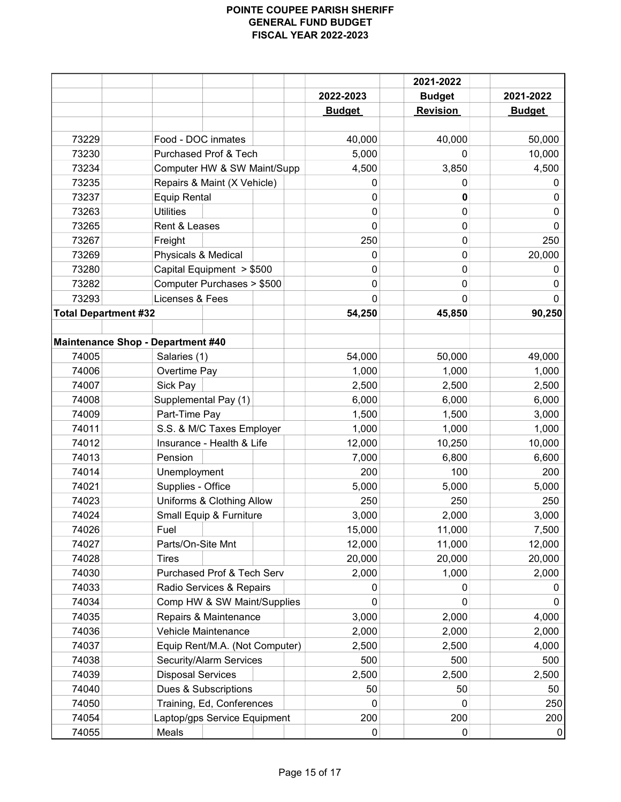|                             |                                   | 2022-2023     | 2021-2022<br><b>Budget</b> |               |
|-----------------------------|-----------------------------------|---------------|----------------------------|---------------|
|                             |                                   |               |                            | 2021-2022     |
|                             |                                   | <b>Budget</b> | <b>Revision</b>            | <b>Budget</b> |
| 73229                       | Food - DOC inmates                | 40,000        | 40,000                     | 50,000        |
| 73230                       | Purchased Prof & Tech             | 5,000         | 0                          | 10,000        |
| 73234                       | Computer HW & SW Maint/Supp       | 4,500         | 3,850                      | 4,500         |
| 73235                       | Repairs & Maint (X Vehicle)       | 0             | 0                          | 0             |
| 73237                       | <b>Equip Rental</b>               | 0             | 0                          | 0             |
| 73263                       | <b>Utilities</b>                  | 0             | 0                          | $\mathbf{0}$  |
| 73265                       | Rent & Leases                     | 0             | 0                          | 0             |
| 73267                       | Freight                           | 250           | 0                          | 250           |
| 73269                       | Physicals & Medical               | 0             | 0                          | 20,000        |
| 73280                       | Capital Equipment > \$500         | 0             | 0                          | 0             |
| 73282                       | Computer Purchases > \$500        | 0             | 0                          | 0             |
| 73293                       | Licenses & Fees                   | 0             | 0                          | 0             |
| <b>Total Department #32</b> |                                   | 54,250        | 45,850                     | 90,250        |
|                             |                                   |               |                            |               |
|                             | Maintenance Shop - Department #40 |               |                            |               |
| 74005                       | Salaries (1)                      | 54,000        | 50,000                     | 49,000        |
| 74006                       | Overtime Pay                      | 1,000         | 1,000                      | 1,000         |
| 74007                       | Sick Pay                          | 2,500         | 2,500                      | 2,500         |
| 74008                       | Supplemental Pay (1)              | 6,000         | 6,000                      | 6,000         |
| 74009                       | Part-Time Pay                     | 1,500         | 1,500                      | 3,000         |
| 74011                       | S.S. & M/C Taxes Employer         | 1,000         | 1,000                      | 1,000         |
| 74012                       | Insurance - Health & Life         | 12,000        | 10,250                     | 10,000        |
| 74013                       | Pension                           | 7,000         | 6,800                      | 6,600         |
| 74014                       | Unemployment                      | 200           | 100                        | 200           |
| 74021                       | Supplies - Office                 | 5,000         | 5,000                      | 5,000         |
| 74023                       | Uniforms & Clothing Allow         | 250           | 250                        | 250           |
| 74024                       | Small Equip & Furniture           | 3,000         | 2,000                      | 3,000         |
| 74026                       | Fuel                              | 15,000        | 11,000                     | 7,500         |
| 74027                       | Parts/On-Site Mnt                 | 12,000        | 11,000                     | 12,000        |
| 74028                       | Tires                             | 20,000        | 20,000                     | 20,000        |
| 74030                       | Purchased Prof & Tech Serv        | 2,000         | 1,000                      | 2,000         |
| 74033                       | Radio Services & Repairs          | 0             | 0                          | 0             |
| 74034                       | Comp HW & SW Maint/Supplies       | 0             | 0                          | $\Omega$      |
| 74035                       | Repairs & Maintenance             | 3,000         | 2,000                      | 4,000         |
| 74036                       | Vehicle Maintenance               | 2,000         | 2,000                      | 2,000         |
| 74037                       | Equip Rent/M.A. (Not Computer)    | 2,500         | 2,500                      | 4,000         |
| 74038                       | Security/Alarm Services           | 500           | 500                        | 500           |
| 74039                       | <b>Disposal Services</b>          | 2,500         | 2,500                      | 2,500         |
| 74040                       | Dues & Subscriptions              | 50            | 50                         | 50            |
| 74050                       | Training, Ed, Conferences         | 0             | 0                          | 250           |
| 74054                       | Laptop/gps Service Equipment      | 200           | 200                        | 200           |
| 74055                       | Meals                             | 0             | 0                          | 0             |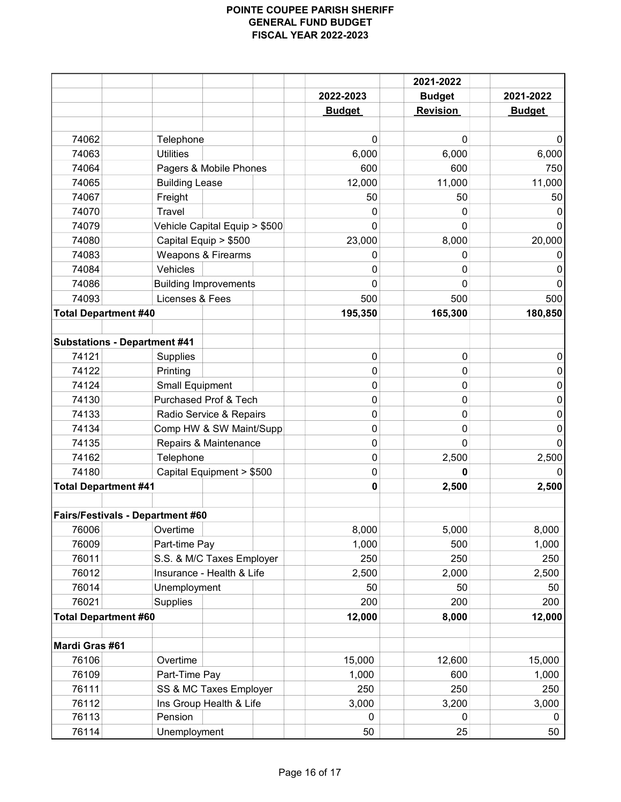|                                     |                                    |               | 2021-2022       |               |
|-------------------------------------|------------------------------------|---------------|-----------------|---------------|
|                                     |                                    | 2022-2023     | <b>Budget</b>   | 2021-2022     |
|                                     |                                    | <b>Budget</b> | <b>Revision</b> | <b>Budget</b> |
|                                     |                                    |               |                 |               |
| 74062                               | Telephone                          | 0             | 0               | O             |
| 74063                               | <b>Utilities</b>                   | 6,000         | 6,000           | 6,000         |
| 74064                               | Pagers & Mobile Phones             | 600           | 600             | 750           |
| 74065                               | <b>Building Lease</b>              | 12,000        | 11,000          | 11,000        |
| 74067                               | Freight                            | 50            | 50              | 50            |
| 74070                               | Travel                             | 0             | 0               |               |
| 74079                               | Vehicle Capital Equip > \$500      | 0             | 0               |               |
| 74080                               | Capital Equip > \$500              | 23,000        | 8,000           | 20,000        |
| 74083                               | Weapons & Firearms                 | 0             | 0               | O             |
| 74084                               | Vehicles                           | 0             | 0               | 0             |
| 74086                               | <b>Building Improvements</b>       | 0             | 0               | 0             |
| 74093                               | Licenses & Fees                    | 500           | 500             | 500           |
| <b>Total Department #40</b>         |                                    | 195,350       | 165,300         | 180,850       |
|                                     |                                    |               |                 |               |
| <b>Substations - Department #41</b> |                                    |               |                 |               |
| 74121                               | <b>Supplies</b>                    | $\pmb{0}$     | $\mathbf 0$     | 0             |
| 74122                               | Printing                           | 0             | 0               | 0             |
| 74124                               | <b>Small Equipment</b>             | 0             | 0               | 0             |
| 74130                               | Purchased Prof & Tech              | 0             | 0               | 0             |
| 74133                               | Radio Service & Repairs            | 0             | 0               | 0             |
| 74134                               | Comp HW & SW Maint/Supp            | 0             | 0               | 0             |
| 74135                               | Repairs & Maintenance              | 0             | 0               |               |
| 74162                               | Telephone                          | 0             | 2,500           | 2,500         |
| 74180                               | Capital Equipment > \$500          | 0             | 0               | 0             |
| <b>Total Department #41</b>         |                                    | 0             | 2,500           | 2,500         |
|                                     |                                    |               |                 |               |
|                                     | Fairs/Festivals - Department #60   |               |                 |               |
| 76006                               | Overtime                           | 8,000         | 5,000           | 8,000         |
| 76009                               | Part-time Pay                      | 1,000         | 500             | 1,000         |
| 76011                               | S.S. & M/C Taxes Employer          | 250           | 250             | 250           |
| 76012                               | Insurance - Health & Life          | 2,500         | 2,000           | 2,500         |
| 76014                               |                                    | 50            |                 |               |
| 76021                               | Unemployment                       | 200           | 50              | 50            |
|                                     | Supplies                           |               | 200             | 200           |
| <b>Total Department #60</b>         |                                    | 12,000        | 8,000           | 12,000        |
| Mardi Gras #61                      |                                    |               |                 |               |
|                                     |                                    | 15,000        |                 | 15,000        |
| 76106                               | Overtime                           |               | 12,600          |               |
| 76109                               | Part-Time Pay                      | 1,000         | 600             | 1,000         |
| 76111                               | SS & MC Taxes Employer             | 250           | 250             | 250           |
| 76112                               | Ins Group Health & Life<br>Pension | 3,000         | 3,200           | 3,000         |
| 76113                               |                                    | 0             | 0               | 0             |
| 76114                               | Unemployment                       | 50            | 25              | 50            |